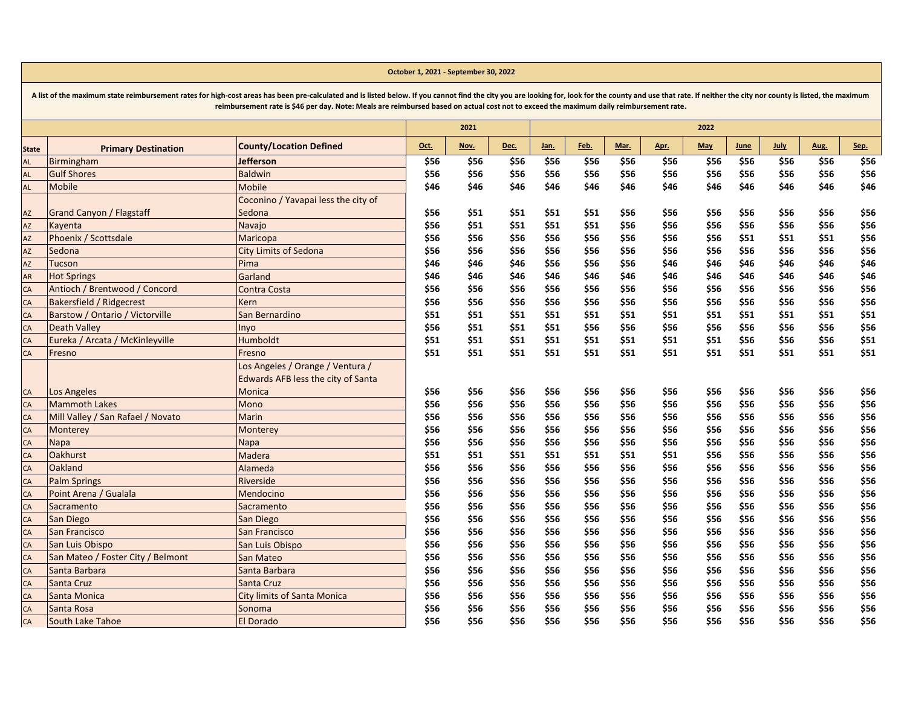|               | reimbursement rate is \$46 per day. Note: Meals are reimbursed based on actual cost not to exceed the maximum daily reimbursement rate. |                                     |      |      |      |      |      |      |      |            |      |             |      |      |
|---------------|-----------------------------------------------------------------------------------------------------------------------------------------|-------------------------------------|------|------|------|------|------|------|------|------------|------|-------------|------|------|
|               |                                                                                                                                         |                                     |      | 2021 |      |      |      |      |      | 2022       |      |             |      |      |
| <b>State</b>  | <b>Primary Destination</b>                                                                                                              | <b>County/Location Defined</b>      | Oct. | Nov. | Dec. | Jan. | Feb. | Mar. | Apr. | <b>May</b> | June | <b>July</b> | Aug. | Sep. |
| <b>AL</b>     | Birmingham                                                                                                                              | <b>Jefferson</b>                    | \$56 | \$56 | \$56 | \$56 | \$56 | \$56 | \$56 | \$56       | \$56 | \$56        | \$56 | \$56 |
| <b>AL</b>     | <b>Gulf Shores</b>                                                                                                                      | <b>Baldwin</b>                      | \$56 | \$56 | \$56 | \$56 | \$56 | \$56 | \$56 | \$56       | \$56 | \$56        | \$56 | \$56 |
| AL            | <b>Mobile</b>                                                                                                                           | <b>Mobile</b>                       | \$46 | \$46 | \$46 | \$46 | \$46 | \$46 | \$46 | \$46       | \$46 | \$46        | \$46 | \$46 |
|               |                                                                                                                                         | Coconino / Yavapai less the city of |      |      |      |      |      |      |      |            |      |             |      |      |
| $\mathsf{AZ}$ | <b>Grand Canyon / Flagstaff</b>                                                                                                         | Sedona                              | \$56 | \$51 | \$51 | \$51 | \$51 | \$56 | \$56 | \$56       | \$56 | \$56        | \$56 | \$56 |
| AZ            | Kayenta                                                                                                                                 | Navajo                              | \$56 | \$51 | \$51 | \$51 | \$51 | \$56 | \$56 | \$56       | \$56 | \$56        | \$56 | \$56 |
| AZ            | Phoenix / Scottsdale                                                                                                                    | Maricopa                            | \$56 | \$56 | \$56 | \$56 | \$56 | \$56 | \$56 | \$56       | \$51 | \$51        | \$51 | \$56 |
| AZ            | Sedona                                                                                                                                  | <b>City Limits of Sedona</b>        | \$56 | \$56 | \$56 | \$56 | \$56 | \$56 | \$56 | \$56       | \$56 | \$56        | \$56 | \$56 |
| AZ            | <b>Tucson</b>                                                                                                                           | Pima                                | \$46 | \$46 | \$46 | \$56 | \$56 | \$56 | \$46 | \$46       | \$46 | \$46        | \$46 | \$46 |
| AR            | <b>Hot Springs</b>                                                                                                                      | Garland                             | \$46 | \$46 | \$46 | \$46 | \$46 | \$46 | \$46 | \$46       | \$46 | \$46        | \$46 | \$46 |
| CA            | Antioch / Brentwood / Concord                                                                                                           | Contra Costa                        | \$56 | \$56 | \$56 | \$56 | \$56 | \$56 | \$56 | \$56       | \$56 | \$56        | \$56 | \$56 |
| CA            | <b>Bakersfield / Ridgecrest</b>                                                                                                         | Kern                                | \$56 | \$56 | \$56 | \$56 | \$56 | \$56 | \$56 | \$56       | \$56 | \$56        | \$56 | \$56 |
| CA            | Barstow / Ontario / Victorville                                                                                                         | San Bernardino                      | \$51 | \$51 | \$51 | \$51 | \$51 | \$51 | \$51 | \$51       | \$51 | \$51        | \$51 | \$51 |
| CA            | <b>Death Valley</b>                                                                                                                     | Inyo                                | \$56 | \$51 | \$51 | \$51 | \$56 | \$56 | \$56 | \$56       | \$56 | \$56        | \$56 | \$56 |
| CA            | Eureka / Arcata / McKinleyville                                                                                                         | <b>Humboldt</b>                     | \$51 | \$51 | \$51 | \$51 | \$51 | \$51 | \$51 | \$51       | \$56 | \$56        | \$56 | \$51 |
| CA            | Fresno                                                                                                                                  | Fresno                              | \$51 | \$51 | \$51 | \$51 | \$51 | \$51 | \$51 | \$51       | \$51 | \$51        | \$51 | \$51 |
|               |                                                                                                                                         | Los Angeles / Orange / Ventura /    |      |      |      |      |      |      |      |            |      |             |      |      |
|               |                                                                                                                                         | Edwards AFB less the city of Santa  |      |      |      |      |      |      |      |            |      |             |      |      |
| CA            | Los Angeles                                                                                                                             | Monica                              | \$56 | \$56 | \$56 | \$56 | \$56 | \$56 | \$56 | \$56       | \$56 | \$56        | \$56 | \$56 |
| CA            | <b>Mammoth Lakes</b>                                                                                                                    | Mono                                | \$56 | \$56 | \$56 | \$56 | \$56 | \$56 | \$56 | \$56       | \$56 | \$56        | \$56 | \$56 |
| CA            | Mill Valley / San Rafael / Novato                                                                                                       | Marin                               | \$56 | \$56 | \$56 | \$56 | \$56 | \$56 | \$56 | \$56       | \$56 | \$56        | \$56 | \$56 |
| CA            | Monterey                                                                                                                                | Monterey                            | \$56 | \$56 | \$56 | \$56 | \$56 | \$56 | \$56 | \$56       | \$56 | \$56        | \$56 | \$56 |
| CA            | <b>Napa</b>                                                                                                                             | Napa                                | \$56 | \$56 | \$56 | \$56 | \$56 | \$56 | \$56 | \$56       | \$56 | \$56        | \$56 | \$56 |
| CA            | <b>Oakhurst</b>                                                                                                                         | Madera                              | \$51 | \$51 | \$51 | \$51 | \$51 | \$51 | \$51 | \$56       | \$56 | \$56        | \$56 | \$56 |
| CA            | Oakland                                                                                                                                 | Alameda                             | \$56 | \$56 | \$56 | \$56 | \$56 | \$56 | \$56 | \$56       | \$56 | \$56        | \$56 | \$56 |
| CA            | <b>Palm Springs</b>                                                                                                                     | Riverside                           | \$56 | \$56 | \$56 | \$56 | \$56 | \$56 | \$56 | \$56       | \$56 | \$56        | \$56 | \$56 |
| CA            | Point Arena / Gualala                                                                                                                   | Mendocino                           | \$56 | \$56 | \$56 | \$56 | \$56 | \$56 | \$56 | \$56       | \$56 | \$56        | \$56 | \$56 |
| CA            | Sacramento                                                                                                                              | Sacramento                          | \$56 | \$56 | \$56 | \$56 | \$56 | \$56 | \$56 | \$56       | \$56 | \$56        | \$56 | \$56 |
| CA            | <b>San Diego</b>                                                                                                                        | San Diego                           | \$56 | \$56 | \$56 | \$56 | \$56 | \$56 | \$56 | \$56       | \$56 | \$56        | \$56 | \$56 |
| CA            | <b>San Francisco</b>                                                                                                                    | <b>San Francisco</b>                | \$56 | \$56 | \$56 | \$56 | \$56 | \$56 | \$56 | \$56       | \$56 | \$56        | \$56 | \$56 |
| CA            | San Luis Obispo                                                                                                                         | San Luis Obispo                     | \$56 | \$56 | \$56 | \$56 | \$56 | \$56 | \$56 | \$56       | \$56 | \$56        | \$56 | \$56 |
| CA            | San Mateo / Foster City / Belmont                                                                                                       | San Mateo                           | \$56 | \$56 | \$56 | \$56 | \$56 | \$56 | \$56 | \$56       | \$56 | \$56        | \$56 | \$56 |
| CA            | Santa Barbara                                                                                                                           | Santa Barbara                       | \$56 | \$56 | \$56 | \$56 | \$56 | \$56 | \$56 | \$56       | \$56 | \$56        | \$56 | \$56 |
| CA            | <b>Santa Cruz</b>                                                                                                                       | Santa Cruz                          | \$56 | \$56 | \$56 | \$56 | \$56 | \$56 | \$56 | \$56       | \$56 | \$56        | \$56 | \$56 |
| CA            | Santa Monica                                                                                                                            | <b>City limits of Santa Monica</b>  | \$56 | \$56 | \$56 | \$56 | \$56 | \$56 | \$56 | \$56       | \$56 | \$56        | \$56 | \$56 |
| CA            | Santa Rosa                                                                                                                              | Sonoma                              | \$56 | \$56 | \$56 | \$56 | \$56 | \$56 | \$56 | \$56       | \$56 | \$56        | \$56 | \$56 |
| CA            | South Lake Tahoe                                                                                                                        | <b>El Dorado</b>                    | \$56 | \$56 | \$56 | \$56 | \$56 | \$56 | \$56 | \$56       | \$56 | \$56        | \$56 | \$56 |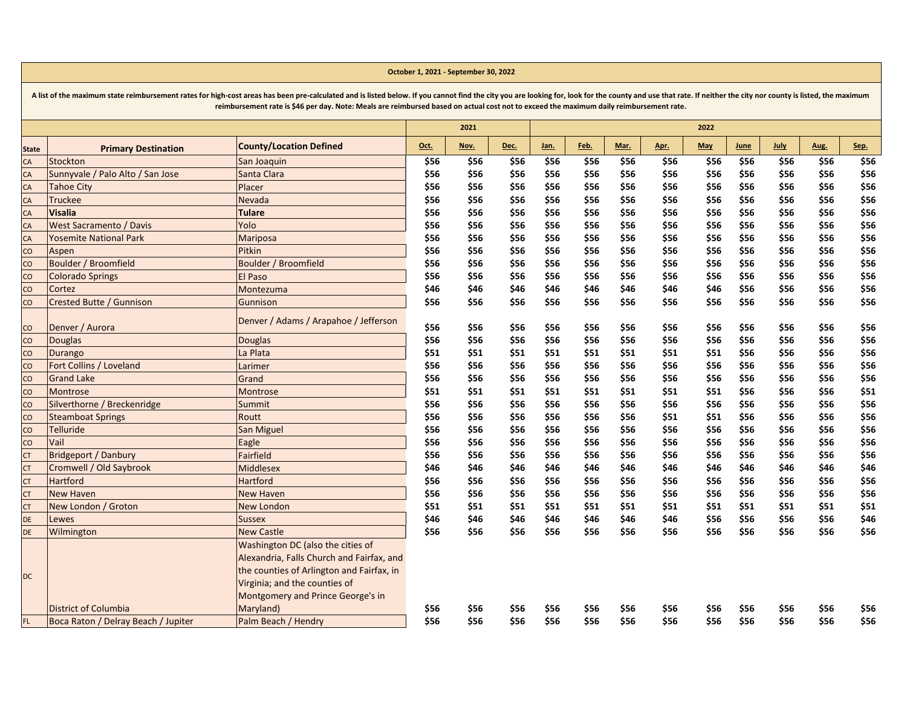|                | reimbursement rate is 546 per day. Note: Meals are reimbursed based on actual cost not to exceed the maximum daily reimbursement rate. |                                           |      |      |      |      |      |      |      |      |      |             |      |      |
|----------------|----------------------------------------------------------------------------------------------------------------------------------------|-------------------------------------------|------|------|------|------|------|------|------|------|------|-------------|------|------|
|                |                                                                                                                                        |                                           |      | 2021 |      |      |      |      |      | 2022 |      |             |      |      |
| <b>State</b>   | <b>Primary Destination</b>                                                                                                             | <b>County/Location Defined</b>            | Oct. | Nov. | Dec. | Jan. | Feb. | Mar. | Apr. | May  | June | <b>July</b> | Aug. | Sep. |
| CA             | Stockton                                                                                                                               | San Joaquin                               | \$56 | \$56 | \$56 | \$56 | \$56 | \$56 | \$56 | \$56 | \$56 | \$56        | \$56 | \$56 |
| CA             | Sunnyvale / Palo Alto / San Jose                                                                                                       | Santa Clara                               | \$56 | \$56 | \$56 | \$56 | \$56 | \$56 | \$56 | \$56 | \$56 | \$56        | \$56 | \$56 |
| CA             | <b>Tahoe City</b>                                                                                                                      | Placer                                    | \$56 | \$56 | \$56 | \$56 | \$56 | \$56 | \$56 | \$56 | \$56 | \$56        | \$56 | \$56 |
| CA             | <b>Truckee</b>                                                                                                                         | Nevada                                    | \$56 | \$56 | \$56 | \$56 | \$56 | \$56 | \$56 | \$56 | \$56 | \$56        | \$56 | \$56 |
| CA             | <b>Visalia</b>                                                                                                                         | <b>Tulare</b>                             | \$56 | \$56 | \$56 | \$56 | \$56 | \$56 | \$56 | \$56 | \$56 | \$56        | \$56 | \$56 |
| CA             | West Sacramento / Davis                                                                                                                | Yolo                                      | \$56 | \$56 | \$56 | \$56 | \$56 | \$56 | \$56 | \$56 | \$56 | \$56        | \$56 | \$56 |
| CA             | <b>Yosemite National Park</b>                                                                                                          | Mariposa                                  | \$56 | \$56 | \$56 | \$56 | \$56 | \$56 | \$56 | \$56 | \$56 | \$56        | \$56 | \$56 |
| CO             | Aspen                                                                                                                                  | Pitkin                                    | \$56 | \$56 | \$56 | \$56 | \$56 | \$56 | \$56 | \$56 | \$56 | \$56        | \$56 | \$56 |
| $\overline{c}$ | Boulder / Broomfield                                                                                                                   | Boulder / Broomfield                      | \$56 | \$56 | \$56 | \$56 | \$56 | \$56 | \$56 | \$56 | \$56 | \$56        | \$56 | \$56 |
| $\overline{c}$ | <b>Colorado Springs</b>                                                                                                                | El Paso                                   | \$56 | \$56 | \$56 | \$56 | \$56 | \$56 | \$56 | \$56 | \$56 | \$56        | \$56 | \$56 |
| $\overline{c}$ | Cortez                                                                                                                                 | Montezuma                                 | \$46 | \$46 | \$46 | \$46 | \$46 | \$46 | \$46 | \$46 | \$56 | \$56        | \$56 | \$56 |
| $\overline{c}$ | Crested Butte / Gunnison                                                                                                               | Gunnison                                  | \$56 | \$56 | \$56 | \$56 | \$56 | \$56 | \$56 | \$56 | \$56 | \$56        | \$56 | \$56 |
| CO             | Denver / Aurora                                                                                                                        | Denver / Adams / Arapahoe / Jefferson     | \$56 | \$56 | \$56 | \$56 | \$56 | \$56 | \$56 | \$56 | \$56 | \$56        | \$56 | \$56 |
| CO             | <b>Douglas</b>                                                                                                                         | <b>Douglas</b>                            | \$56 | \$56 | \$56 | \$56 | \$56 | \$56 | \$56 | \$56 | \$56 | \$56        | \$56 | \$56 |
| CO             | <b>Durango</b>                                                                                                                         | La Plata                                  | \$51 | \$51 | \$51 | \$51 | \$51 | \$51 | \$51 | \$51 | \$56 | \$56        | \$56 | \$56 |
| $\overline{c}$ | Fort Collins / Loveland                                                                                                                | Larimer                                   | \$56 | \$56 | \$56 | \$56 | \$56 | \$56 | \$56 | \$56 | \$56 | \$56        | \$56 | \$56 |
| CO             | <b>Grand Lake</b>                                                                                                                      | Grand                                     | \$56 | \$56 | \$56 | \$56 | \$56 | \$56 | \$56 | \$56 | \$56 | \$56        | \$56 | \$56 |
| $\overline{c}$ | Montrose                                                                                                                               | Montrose                                  | \$51 | \$51 | \$51 | \$51 | \$51 | \$51 | \$51 | \$51 | \$56 | \$56        | \$56 | \$51 |
| $\overline{c}$ | Silverthorne / Breckenridge                                                                                                            | Summit                                    | \$56 | \$56 | \$56 | \$56 | \$56 | \$56 | \$56 | \$56 | \$56 | \$56        | \$56 | \$56 |
| $\overline{c}$ | <b>Steamboat Springs</b>                                                                                                               | Routt                                     | \$56 | \$56 | \$56 | \$56 | \$56 | \$56 | \$51 | \$51 | \$56 | \$56        | \$56 | \$56 |
| CO             | <b>Telluride</b>                                                                                                                       | San Miguel                                | \$56 | \$56 | \$56 | \$56 | \$56 | \$56 | \$56 | \$56 | \$56 | \$56        | \$56 | \$56 |
| $\overline{c}$ | Vail                                                                                                                                   | Eagle                                     | \$56 | \$56 | \$56 | \$56 | \$56 | \$56 | \$56 | \$56 | \$56 | \$56        | \$56 | \$56 |
| <b>CT</b>      | <b>Bridgeport / Danbury</b>                                                                                                            | Fairfield                                 | \$56 | \$56 | \$56 | \$56 | \$56 | \$56 | \$56 | \$56 | \$56 | \$56        | \$56 | \$56 |
| <b>CT</b>      | Cromwell / Old Saybrook                                                                                                                | <b>Middlesex</b>                          | \$46 | \$46 | \$46 | \$46 | \$46 | \$46 | \$46 | \$46 | \$46 | \$46        | \$46 | \$46 |
| <b>CT</b>      | <b>Hartford</b>                                                                                                                        | Hartford                                  | \$56 | \$56 | \$56 | \$56 | \$56 | \$56 | \$56 | \$56 | \$56 | \$56        | \$56 | \$56 |
| <b>CT</b>      | <b>New Haven</b>                                                                                                                       | <b>New Haven</b>                          | \$56 | \$56 | \$56 | \$56 | \$56 | \$56 | \$56 | \$56 | \$56 | \$56        | \$56 | \$56 |
| <b>CT</b>      | New London / Groton                                                                                                                    | <b>New London</b>                         | \$51 | \$51 | \$51 | \$51 | \$51 | \$51 | \$51 | \$51 | \$51 | \$51        | \$51 | \$51 |
| DE             | Lewes                                                                                                                                  | <b>Sussex</b>                             | \$46 | \$46 | \$46 | \$46 | \$46 | \$46 | \$46 | \$56 | \$56 | \$56        | \$56 | \$46 |
| DE             | Wilmington                                                                                                                             | <b>New Castle</b>                         | \$56 | \$56 | \$56 | \$56 | \$56 | \$56 | \$56 | \$56 | \$56 | \$56        | \$56 | \$56 |
|                |                                                                                                                                        | Washington DC (also the cities of         |      |      |      |      |      |      |      |      |      |             |      |      |
|                |                                                                                                                                        | Alexandria, Falls Church and Fairfax, and |      |      |      |      |      |      |      |      |      |             |      |      |
|                |                                                                                                                                        | the counties of Arlington and Fairfax, in |      |      |      |      |      |      |      |      |      |             |      |      |
| <b>DC</b>      |                                                                                                                                        | Virginia; and the counties of             |      |      |      |      |      |      |      |      |      |             |      |      |
|                |                                                                                                                                        | Montgomery and Prince George's in         |      |      |      |      |      |      |      |      |      |             |      |      |
|                | <b>District of Columbia</b>                                                                                                            | Maryland)                                 | \$56 | \$56 | \$56 | \$56 | \$56 | \$56 | \$56 | \$56 | \$56 | \$56        | \$56 | \$56 |
| FL.            | Boca Raton / Delray Beach / Jupiter                                                                                                    | Palm Beach / Hendry                       | \$56 | \$56 | \$56 | \$56 | \$56 | \$56 | \$56 | \$56 | \$56 | \$56        | \$56 | \$56 |
|                |                                                                                                                                        |                                           |      |      |      |      |      |      |      |      |      |             |      |      |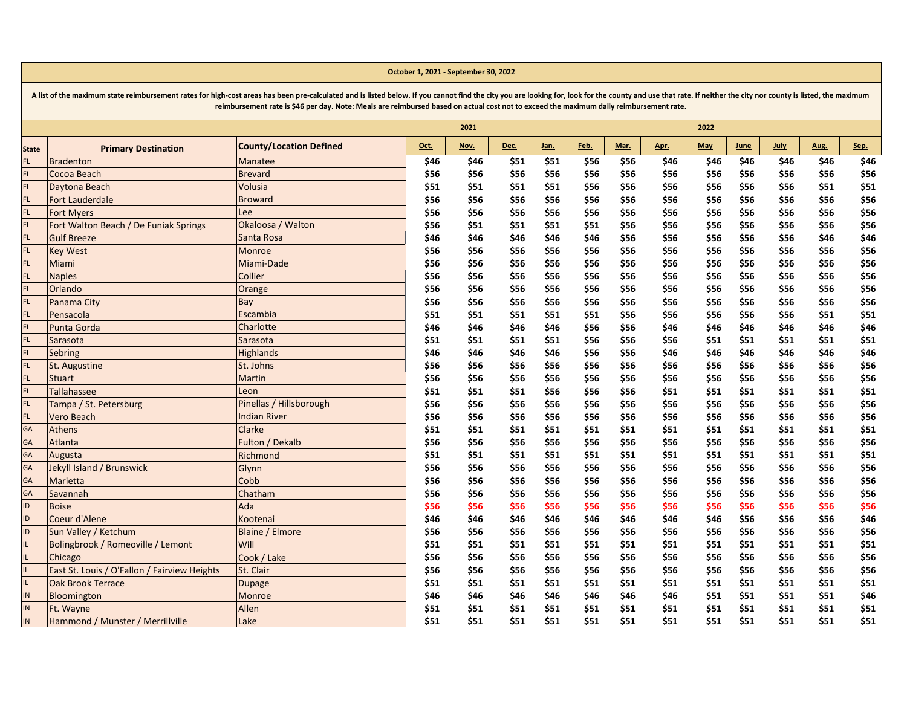|              |                                              | reimbursement rate is \$46 per day. Note: Meals are reimbursed based on actual cost not to exceed the maximum daily reimbursement rate. |      |      |      |      |      |      |      |      |      |             |      |      |
|--------------|----------------------------------------------|-----------------------------------------------------------------------------------------------------------------------------------------|------|------|------|------|------|------|------|------|------|-------------|------|------|
|              |                                              |                                                                                                                                         |      | 2021 |      |      |      |      |      | 2022 |      |             |      |      |
| <b>State</b> | <b>Primary Destination</b>                   | <b>County/Location Defined</b>                                                                                                          | Oct. | Nov. | Dec. | Jan. | Feb. | Mar. | Apr. | May  | June | <b>July</b> | Aug. | Sep. |
| FL.          | <b>Bradenton</b>                             | Manatee                                                                                                                                 | \$46 | \$46 | \$51 | \$51 | \$56 | \$56 | \$46 | \$46 | \$46 | \$46        | \$46 | \$46 |
| FL.          | Cocoa Beach                                  | <b>Brevard</b>                                                                                                                          | \$56 | \$56 | \$56 | \$56 | \$56 | \$56 | \$56 | \$56 | \$56 | \$56        | \$56 | \$56 |
| FL.          | Daytona Beach                                | Volusia                                                                                                                                 | \$51 | \$51 | \$51 | \$51 | \$56 | \$56 | \$56 | \$56 | \$56 | \$56        | \$51 | \$51 |
| FL.          | <b>Fort Lauderdale</b>                       | <b>Broward</b>                                                                                                                          | \$56 | \$56 | \$56 | \$56 | \$56 | \$56 | \$56 | \$56 | \$56 | \$56        | \$56 | \$56 |
| FL.          | <b>Fort Myers</b>                            | Lee                                                                                                                                     | \$56 | \$56 | \$56 | \$56 | \$56 | \$56 | \$56 | \$56 | \$56 | \$56        | \$56 | \$56 |
| FL.          | Fort Walton Beach / De Funiak Springs        | Okaloosa / Walton                                                                                                                       | \$56 | \$51 | \$51 | \$51 | \$51 | \$56 | \$56 | \$56 | \$56 | \$56        | \$56 | \$56 |
| FL.          | <b>Gulf Breeze</b>                           | Santa Rosa                                                                                                                              | \$46 | \$46 | \$46 | \$46 | \$46 | \$56 | \$56 | \$56 | \$56 | \$56        | \$46 | \$46 |
| FL.          | <b>Key West</b>                              | Monroe                                                                                                                                  | \$56 | \$56 | \$56 | \$56 | \$56 | \$56 | \$56 | \$56 | \$56 | \$56        | \$56 | \$56 |
| FL.          | Miami                                        | Miami-Dade                                                                                                                              | \$56 | \$56 | \$56 | \$56 | \$56 | \$56 | \$56 | \$56 | \$56 | \$56        | \$56 | \$56 |
| FL.          | <b>Naples</b>                                | Collier                                                                                                                                 | \$56 | \$56 | \$56 | \$56 | \$56 | \$56 | \$56 | \$56 | \$56 | \$56        | \$56 | \$56 |
| FL.          | Orlando                                      | Orange                                                                                                                                  | \$56 | \$56 | \$56 | \$56 | \$56 | \$56 | \$56 | \$56 | \$56 | \$56        | \$56 | \$56 |
| FL.          | Panama City                                  | Bay                                                                                                                                     | \$56 | \$56 | \$56 | \$56 | \$56 | \$56 | \$56 | \$56 | \$56 | \$56        | \$56 | \$56 |
| FL.          | Pensacola                                    | Escambia                                                                                                                                | \$51 | \$51 | \$51 | \$51 | \$51 | \$56 | \$56 | \$56 | \$56 | \$56        | \$51 | \$51 |
| FL.          | Punta Gorda                                  | Charlotte                                                                                                                               | \$46 | \$46 | \$46 | \$46 | \$56 | \$56 | \$46 | \$46 | \$46 | \$46        | \$46 | \$46 |
| FL.          | Sarasota                                     | Sarasota                                                                                                                                | \$51 | \$51 | \$51 | \$51 | \$56 | \$56 | \$56 | \$51 | \$51 | \$51        | \$51 | \$51 |
| FL.          | Sebring                                      | <b>Highlands</b>                                                                                                                        | \$46 | \$46 | \$46 | \$46 | \$56 | \$56 | \$46 | \$46 | \$46 | \$46        | \$46 | \$46 |
| FL.          | St. Augustine                                | St. Johns                                                                                                                               | \$56 | \$56 | \$56 | \$56 | \$56 | \$56 | \$56 | \$56 | \$56 | \$56        | \$56 | \$56 |
| FL.          | <b>Stuart</b>                                | Martin                                                                                                                                  | \$56 | \$56 | \$56 | \$56 | \$56 | \$56 | \$56 | \$56 | \$56 | \$56        | \$56 | \$56 |
| FL.          | Tallahassee                                  | Leon                                                                                                                                    | \$51 | \$51 | \$51 | \$56 | \$56 | \$56 | \$51 | \$51 | \$51 | \$51        | \$51 | \$51 |
| FL.          | Tampa / St. Petersburg                       | Pinellas / Hillsborough                                                                                                                 | \$56 | \$56 | \$56 | \$56 | \$56 | \$56 | \$56 | \$56 | \$56 | \$56        | \$56 | \$56 |
| FL.          | <b>Vero Beach</b>                            | <b>Indian River</b>                                                                                                                     | \$56 | \$56 | \$56 | \$56 | \$56 | \$56 | \$56 | \$56 | \$56 | \$56        | \$56 | \$56 |
| GA           | Athens                                       | Clarke                                                                                                                                  | \$51 | \$51 | \$51 | \$51 | \$51 | \$51 | \$51 | \$51 | \$51 | \$51        | \$51 | \$51 |
| GA           | Atlanta                                      | Fulton / Dekalb                                                                                                                         | \$56 | \$56 | \$56 | \$56 | \$56 | \$56 | \$56 | \$56 | \$56 | \$56        | \$56 | \$56 |
| GA           | Augusta                                      | Richmond                                                                                                                                | \$51 | \$51 | \$51 | \$51 | \$51 | \$51 | \$51 | \$51 | \$51 | \$51        | \$51 | \$51 |
| GA           | Jekyll Island / Brunswick                    | Glynn                                                                                                                                   | \$56 | \$56 | \$56 | \$56 | \$56 | \$56 | \$56 | \$56 | \$56 | \$56        | \$56 | \$56 |
| GA           | Marietta                                     | Cobb                                                                                                                                    | \$56 | \$56 | \$56 | \$56 | \$56 | \$56 | \$56 | \$56 | \$56 | \$56        | \$56 | \$56 |
| GA           | Savannah                                     | Chatham                                                                                                                                 | \$56 | \$56 | \$56 | \$56 | \$56 | \$56 | \$56 | \$56 | \$56 | \$56        | \$56 | \$56 |
| ID.          | <b>Boise</b>                                 | Ada                                                                                                                                     | \$56 | \$56 | \$56 | \$56 | \$56 | \$56 | \$56 | \$56 | \$56 | \$56        | \$56 | \$56 |
| ID           | Coeur d'Alene                                | Kootenai                                                                                                                                | \$46 | \$46 | \$46 | \$46 | \$46 | \$46 | \$46 | \$46 | \$56 | \$56        | \$56 | \$46 |
| ID.          | Sun Valley / Ketchum                         | <b>Blaine / Elmore</b>                                                                                                                  | \$56 | \$56 | \$56 | \$56 | \$56 | \$56 | \$56 | \$56 | \$56 | \$56        | \$56 | \$56 |
| IL.          | Bolingbrook / Romeoville / Lemont            | Will                                                                                                                                    | \$51 | \$51 | \$51 | \$51 | \$51 | \$51 | \$51 | \$51 | \$51 | \$51        | \$51 | \$51 |
| IL.          | Chicago                                      | Cook / Lake                                                                                                                             | \$56 | \$56 | \$56 | \$56 | \$56 | \$56 | \$56 | \$56 | \$56 | \$56        | \$56 | \$56 |
| IL.          | East St. Louis / O'Fallon / Fairview Heights | St. Clair                                                                                                                               | \$56 | \$56 | \$56 | \$56 | \$56 | \$56 | \$56 | \$56 | \$56 | \$56        | \$56 | \$56 |
| IL.          | <b>Oak Brook Terrace</b>                     | <b>Dupage</b>                                                                                                                           | \$51 | \$51 | \$51 | \$51 | \$51 | \$51 | \$51 | \$51 | \$51 | \$51        | \$51 | \$51 |
| IN           | Bloomington                                  | Monroe                                                                                                                                  | \$46 | \$46 | \$46 | \$46 | \$46 | \$46 | \$46 | \$51 | \$51 | \$51        | \$51 | \$46 |
| IN           | Ft. Wayne                                    | Allen                                                                                                                                   | \$51 | \$51 | \$51 | \$51 | \$51 | \$51 | \$51 | \$51 | \$51 | \$51        | \$51 | \$51 |
| IN           | Hammond / Munster / Merrillville             | Lake                                                                                                                                    | \$51 | \$51 | \$51 | \$51 | \$51 | \$51 | \$51 | \$51 | \$51 | \$51        | \$51 | \$51 |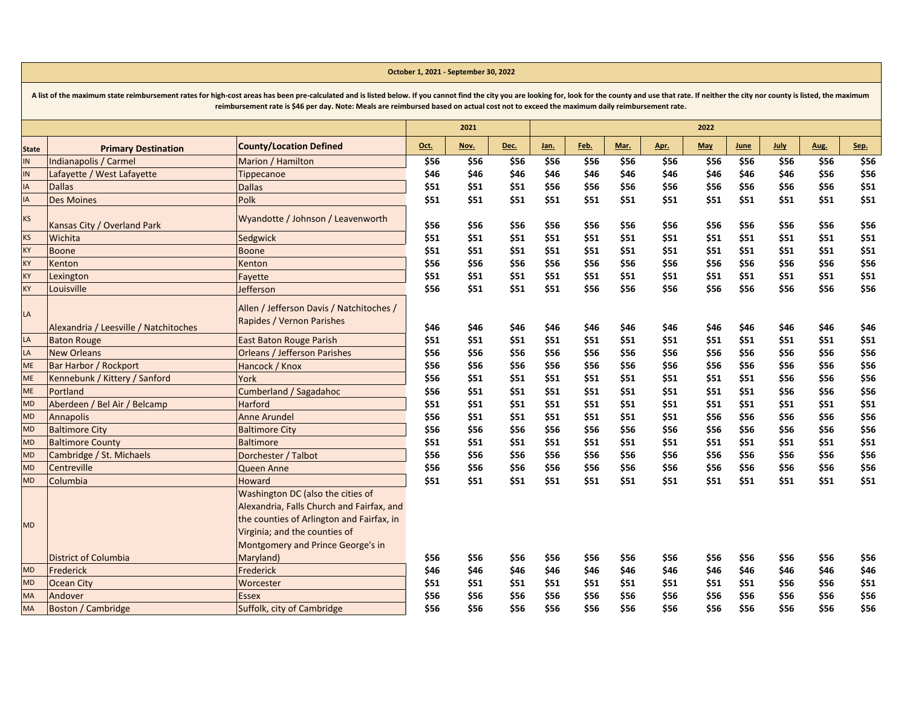|              | reimbursement rate is \$46 per day. Note: Meals are reimbursed based on actual cost not to exceed the maximum daily reimbursement rate. |                                                                                                                             |      |      |      |      |      |      |      |            |      |             |      |      |
|--------------|-----------------------------------------------------------------------------------------------------------------------------------------|-----------------------------------------------------------------------------------------------------------------------------|------|------|------|------|------|------|------|------------|------|-------------|------|------|
|              |                                                                                                                                         |                                                                                                                             |      | 2021 |      |      |      |      |      | 2022       |      |             |      |      |
| <b>State</b> | <b>Primary Destination</b>                                                                                                              | <b>County/Location Defined</b>                                                                                              | Oct. | Nov. | Dec. | Jan. | Feb. | Mar. | Apr. | <b>May</b> | June | <b>July</b> | Aug. | Sep. |
| IN.          | Indianapolis / Carmel                                                                                                                   | Marion / Hamilton                                                                                                           | \$56 | \$56 | \$56 | \$56 | \$56 | \$56 | \$56 | \$56       | \$56 | \$56        | \$56 | \$56 |
| IN           | Lafayette / West Lafayette                                                                                                              | Tippecanoe                                                                                                                  | \$46 | \$46 | \$46 | \$46 | \$46 | \$46 | \$46 | \$46       | \$46 | \$46        | \$56 | \$56 |
| IA           | <b>Dallas</b>                                                                                                                           | <b>Dallas</b>                                                                                                               | \$51 | \$51 | \$51 | \$56 | \$56 | \$56 | \$56 | \$56       | \$56 | \$56        | \$56 | \$51 |
| IA           | <b>Des Moines</b>                                                                                                                       | Polk                                                                                                                        | \$51 | \$51 | \$51 | \$51 | \$51 | \$51 | \$51 | \$51       | \$51 | \$51        | \$51 | \$51 |
| <b>KS</b>    | Kansas City / Overland Park                                                                                                             | Wyandotte / Johnson / Leavenworth                                                                                           | \$56 | \$56 | \$56 | \$56 | \$56 | \$56 | \$56 | \$56       | \$56 | \$56        | \$56 | \$56 |
| <b>KS</b>    | Wichita                                                                                                                                 | Sedgwick                                                                                                                    | \$51 | \$51 | \$51 | \$51 | \$51 | \$51 | \$51 | \$51       | \$51 | \$51        | \$51 | \$51 |
| KY           | <b>Boone</b>                                                                                                                            | <b>Boone</b>                                                                                                                | \$51 | \$51 | \$51 | \$51 | \$51 | \$51 | \$51 | \$51       | \$51 | \$51        | \$51 | \$51 |
| KY           | Kenton                                                                                                                                  | Kenton                                                                                                                      | \$56 | \$56 | \$56 | \$56 | \$56 | \$56 | \$56 | \$56       | \$56 | \$56        | \$56 | \$56 |
| KY           | Lexington                                                                                                                               | Fayette                                                                                                                     | \$51 | \$51 | \$51 | \$51 | \$51 | \$51 | \$51 | \$51       | \$51 | \$51        | \$51 | \$51 |
| KY           | Louisville                                                                                                                              | Jefferson                                                                                                                   | \$56 | \$51 | \$51 | \$51 | \$56 | \$56 | \$56 | \$56       | \$56 | \$56        | \$56 | \$56 |
| LA           | Alexandria / Leesville / Natchitoches                                                                                                   | Allen / Jefferson Davis / Natchitoches /<br>Rapides / Vernon Parishes                                                       | \$46 | \$46 | \$46 | \$46 | \$46 | \$46 | \$46 | \$46       | \$46 | \$46        | \$46 | \$46 |
| LA           | <b>Baton Rouge</b>                                                                                                                      | East Baton Rouge Parish                                                                                                     | \$51 | \$51 | \$51 | \$51 | \$51 | \$51 | \$51 | \$51       | \$51 | \$51        | \$51 | \$51 |
| LA           | <b>New Orleans</b>                                                                                                                      | <b>Orleans / Jefferson Parishes</b>                                                                                         | \$56 | \$56 | \$56 | \$56 | \$56 | \$56 | \$56 | \$56       | \$56 | \$56        | \$56 | \$56 |
| <b>ME</b>    | <b>Bar Harbor / Rockport</b>                                                                                                            | Hancock / Knox                                                                                                              | \$56 | \$56 | \$56 | \$56 | \$56 | \$56 | \$56 | \$56       | \$56 | \$56        | \$56 | \$56 |
| <b>ME</b>    | Kennebunk / Kittery / Sanford                                                                                                           | York                                                                                                                        | \$56 | \$51 | \$51 | \$51 | \$51 | \$51 | \$51 | \$51       | \$51 | \$56        | \$56 | \$56 |
| <b>ME</b>    | Portland                                                                                                                                | <b>Cumberland / Sagadahoc</b>                                                                                               | \$56 | \$51 | \$51 | \$51 | \$51 | \$51 | \$51 | \$51       | \$51 | \$56        | \$56 | \$56 |
| <b>MD</b>    | Aberdeen / Bel Air / Belcamp                                                                                                            | <b>Harford</b>                                                                                                              | \$51 | \$51 | \$51 | \$51 | \$51 | \$51 | \$51 | \$51       | \$51 | \$51        | \$51 | \$51 |
| <b>MD</b>    | <b>Annapolis</b>                                                                                                                        | <b>Anne Arundel</b>                                                                                                         | \$56 | \$51 | \$51 | \$51 | \$51 | \$51 | \$51 | \$56       | \$56 | \$56        | \$56 | \$56 |
| <b>MD</b>    | <b>Baltimore City</b>                                                                                                                   | <b>Baltimore City</b>                                                                                                       | \$56 | \$56 | \$56 | \$56 | \$56 | \$56 | \$56 | \$56       | \$56 | \$56        | \$56 | \$56 |
| <b>MD</b>    | <b>Baltimore County</b>                                                                                                                 | <b>Baltimore</b>                                                                                                            | \$51 | \$51 | \$51 | \$51 | \$51 | \$51 | \$51 | \$51       | \$51 | \$51        | \$51 | \$51 |
| <b>MD</b>    | Cambridge / St. Michaels                                                                                                                | Dorchester / Talbot                                                                                                         | \$56 | \$56 | \$56 | \$56 | \$56 | \$56 | \$56 | \$56       | \$56 | \$56        | \$56 | \$56 |
| <b>MD</b>    | Centreville                                                                                                                             | Queen Anne                                                                                                                  | \$56 | \$56 | \$56 | \$56 | \$56 | \$56 | \$56 | \$56       | \$56 | \$56        | \$56 | \$56 |
| <b>MD</b>    | Columbia                                                                                                                                | Howard                                                                                                                      | \$51 | \$51 | \$51 | \$51 | \$51 | \$51 | \$51 | \$51       | \$51 | \$51        | \$51 | \$51 |
|              |                                                                                                                                         | Washington DC (also the cities of<br>Alexandria, Falls Church and Fairfax, and<br>the counties of Arlington and Fairfax, in |      |      |      |      |      |      |      |            |      |             |      |      |
| <b>MD</b>    |                                                                                                                                         | Virginia; and the counties of<br>Montgomery and Prince George's in                                                          |      |      |      |      |      |      |      |            |      |             |      |      |
|              | <b>District of Columbia</b>                                                                                                             | Maryland)                                                                                                                   | \$56 | \$56 | \$56 | \$56 | \$56 | \$56 | \$56 | \$56       | \$56 | \$56        | \$56 | \$56 |
| <b>MD</b>    | Frederick                                                                                                                               | Frederick                                                                                                                   | \$46 | \$46 | \$46 | \$46 | \$46 | \$46 | \$46 | \$46       | \$46 | \$46        | \$46 | \$46 |
| <b>MD</b>    | <b>Ocean City</b>                                                                                                                       | Worcester                                                                                                                   | \$51 | \$51 | \$51 | \$51 | \$51 | \$51 | \$51 | \$51       | \$51 | \$56        | \$56 | \$51 |
| <b>MA</b>    | Andover                                                                                                                                 | <b>Essex</b>                                                                                                                | \$56 | \$56 | \$56 | \$56 | \$56 | \$56 | \$56 | \$56       | \$56 | \$56        | \$56 | \$56 |
| MA           | <b>Boston / Cambridge</b>                                                                                                               | Suffolk, city of Cambridge                                                                                                  | \$56 | \$56 | \$56 | \$56 | \$56 | \$56 | \$56 | \$56       | \$56 | \$56        | \$56 | \$56 |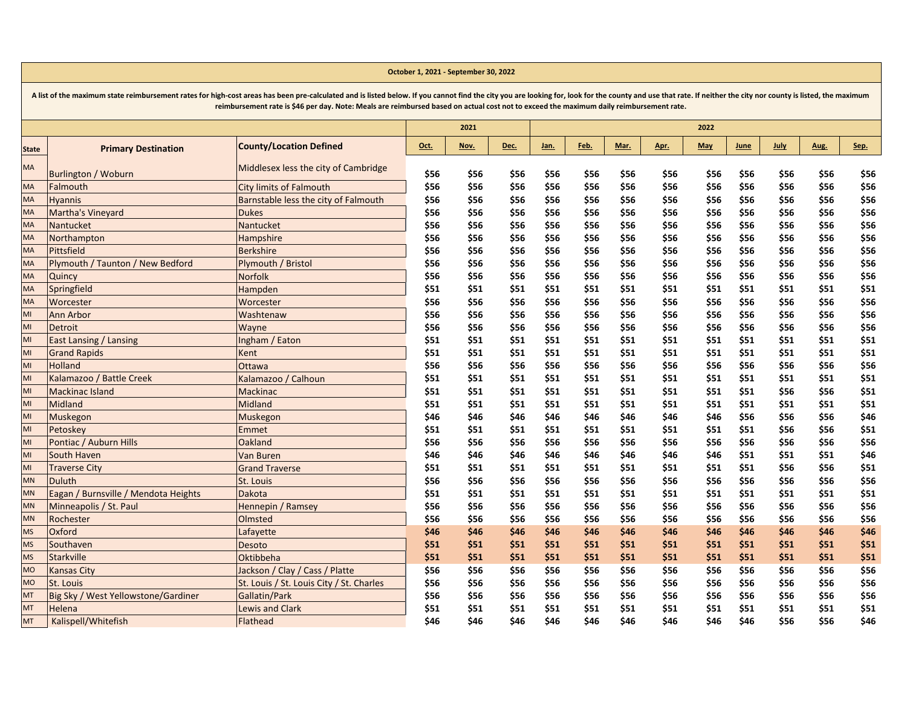|              |                                      |                                          |      | 2021 |      |      |      |      |      | 2022       |      |             |      |      |
|--------------|--------------------------------------|------------------------------------------|------|------|------|------|------|------|------|------------|------|-------------|------|------|
| <b>State</b> | <b>Primary Destination</b>           | <b>County/Location Defined</b>           | Oct. | Nov. | Dec. | Jan. | Feb. | Mar. | Apr. | <b>May</b> | June | <b>July</b> | Aug. | Sep. |
| MA           | <b>Burlington / Woburn</b>           | Middlesex less the city of Cambridge     | \$56 | \$56 | \$56 | \$56 | \$56 | \$56 | \$56 | \$56       | \$56 | \$56        | \$56 | \$56 |
| <b>MA</b>    | Falmouth                             | <b>City limits of Falmouth</b>           | \$56 | \$56 | \$56 | \$56 | \$56 | \$56 | \$56 | \$56       | \$56 | \$56        | \$56 | \$56 |
| <b>MA</b>    | <b>Hyannis</b>                       | Barnstable less the city of Falmouth     | \$56 | \$56 | \$56 | \$56 | \$56 | \$56 | \$56 | \$56       | \$56 | \$56        | \$56 | \$56 |
| MA           | Martha's Vineyard                    | <b>Dukes</b>                             | \$56 | \$56 | \$56 | \$56 | \$56 | \$56 | \$56 | \$56       | \$56 | \$56        | \$56 | \$56 |
| MA           | Nantucket                            | Nantucket                                | \$56 | \$56 | \$56 | \$56 | \$56 | \$56 | \$56 | \$56       | \$56 | \$56        | \$56 | \$56 |
| MA           | Northampton                          | Hampshire                                | \$56 | \$56 | \$56 | \$56 | \$56 | \$56 | \$56 | \$56       | \$56 | \$56        | \$56 | \$56 |
| <b>MA</b>    | Pittsfield                           | <b>Berkshire</b>                         | \$56 | \$56 | \$56 | \$56 | \$56 | \$56 | \$56 | \$56       | \$56 | \$56        | \$56 | \$56 |
| <b>MA</b>    | Plymouth / Taunton / New Bedford     | Plymouth / Bristol                       | \$56 | \$56 | \$56 | \$56 | \$56 | \$56 | \$56 | \$56       | \$56 | \$56        | \$56 | \$56 |
| <b>MA</b>    | Quincy                               | <b>Norfolk</b>                           | \$56 | \$56 | \$56 | \$56 | \$56 | \$56 | \$56 | \$56       | \$56 | \$56        | \$56 | \$56 |
| MA           | Springfield                          | Hampden                                  | \$51 | \$51 | \$51 | \$51 | \$51 | \$51 | \$51 | \$51       | \$51 | \$51        | \$51 | \$51 |
| <b>MA</b>    | Worcester                            | Worcester                                | \$56 | \$56 | \$56 | \$56 | \$56 | \$56 | \$56 | \$56       | \$56 | \$56        | \$56 | \$56 |
| MI           | Ann Arbor                            | Washtenaw                                | \$56 | \$56 | \$56 | \$56 | \$56 | \$56 | \$56 | \$56       | \$56 | \$56        | \$56 | \$56 |
| MI           | Detroit                              | Wayne                                    | \$56 | \$56 | \$56 | \$56 | \$56 | \$56 | \$56 | \$56       | \$56 | \$56        | \$56 | \$56 |
| MI           | <b>East Lansing / Lansing</b>        | Ingham / Eaton                           | \$51 | \$51 | \$51 | \$51 | \$51 | \$51 | \$51 | \$51       | \$51 | \$51        | \$51 | \$51 |
| MI           | <b>Grand Rapids</b>                  | Kent                                     | \$51 | \$51 | \$51 | \$51 | \$51 | \$51 | \$51 | \$51       | \$51 | \$51        | \$51 | \$51 |
| MI           | Holland                              | Ottawa                                   | \$56 | \$56 | \$56 | \$56 | \$56 | \$56 | \$56 | \$56       | \$56 | \$56        | \$56 | \$56 |
| MI           | Kalamazoo / Battle Creek             | Kalamazoo / Calhoun                      | \$51 | \$51 | \$51 | \$51 | \$51 | \$51 | \$51 | \$51       | \$51 | \$51        | \$51 | \$51 |
| MI           | <b>Mackinac Island</b>               | <b>Mackinac</b>                          | \$51 | \$51 | \$51 | \$51 | \$51 | \$51 | \$51 | \$51       | \$51 | \$56        | \$56 | \$51 |
| MI           | Midland                              | Midland                                  | \$51 | \$51 | \$51 | \$51 | \$51 | \$51 | \$51 | \$51       | \$51 | \$51        | \$51 | \$51 |
| MI           | Muskegon                             | Muskegon                                 | \$46 | \$46 | \$46 | \$46 | \$46 | \$46 | \$46 | \$46       | \$56 | \$56        | \$56 | \$46 |
| MI           | Petoskev                             | Emmet                                    | \$51 | \$51 | \$51 | \$51 | \$51 | \$51 | \$51 | \$51       | \$51 | \$56        | \$56 | \$51 |
| MI           | Pontiac / Auburn Hills               | Oakland                                  | \$56 | \$56 | \$56 | \$56 | \$56 | \$56 | \$56 | \$56       | \$56 | \$56        | \$56 | \$56 |
| MI           | South Haven                          | Van Buren                                | \$46 | \$46 | \$46 | \$46 | \$46 | \$46 | \$46 | \$46       | \$51 | \$51        | \$51 | \$46 |
| MI           | <b>Traverse City</b>                 | <b>Grand Traverse</b>                    | \$51 | \$51 | \$51 | \$51 | \$51 | \$51 | \$51 | \$51       | \$51 | \$56        | \$56 | \$51 |
| <b>MN</b>    | <b>Duluth</b>                        | St. Louis                                | \$56 | \$56 | \$56 | \$56 | \$56 | \$56 | \$56 | \$56       | \$56 | \$56        | \$56 | \$56 |
| <b>MN</b>    | Eagan / Burnsville / Mendota Heights | <b>Dakota</b>                            | \$51 | \$51 | \$51 | \$51 | \$51 | \$51 | \$51 | \$51       | \$51 | \$51        | \$51 | \$51 |
| <b>MN</b>    | Minneapolis / St. Paul               | Hennepin / Ramsey                        | \$56 | \$56 | \$56 | \$56 | \$56 | \$56 | \$56 | \$56       | \$56 | \$56        | \$56 | \$56 |
| <b>MN</b>    | Rochester                            | Olmsted                                  | \$56 | \$56 | \$56 | \$56 | \$56 | \$56 | \$56 | \$56       | \$56 | \$56        | \$56 | \$56 |
| <b>MS</b>    | Oxford                               | Lafayette                                | \$46 | \$46 | \$46 | \$46 | \$46 | \$46 | \$46 | \$46       | \$46 | \$46        | \$46 | \$46 |
| <b>MS</b>    | Southaven                            | Desoto                                   | \$51 | \$51 | \$51 | \$51 | \$51 | \$51 | \$51 | \$51       | \$51 | \$51        | \$51 | \$51 |
| <b>MS</b>    | <b>Starkville</b>                    | Oktibbeha                                | \$51 | \$51 | \$51 | \$51 | \$51 | \$51 | \$51 | \$51       | \$51 | \$51        | \$51 | \$51 |
| <b>MO</b>    | <b>Kansas City</b>                   | Jackson / Clay / Cass / Platte           | \$56 | \$56 | \$56 | \$56 | \$56 | \$56 | \$56 | \$56       | \$56 | \$56        | \$56 | \$56 |
| <b>MO</b>    | St. Louis                            | St. Louis / St. Louis City / St. Charles | \$56 | \$56 | \$56 | \$56 | \$56 | \$56 | \$56 | \$56       | \$56 | \$56        | \$56 | \$56 |
| MT           | Big Sky / West Yellowstone/Gardiner  | Gallatin/Park                            | \$56 | \$56 | \$56 | \$56 | \$56 | \$56 | \$56 | \$56       | \$56 | \$56        | \$56 | \$56 |
| MT           | Helena                               | <b>Lewis and Clark</b>                   | \$51 | \$51 | \$51 | \$51 | \$51 | \$51 | \$51 | \$51       | \$51 | \$51        | \$51 | \$51 |
| MT           | Kalispell/Whitefish                  | Flathead                                 | \$46 | \$46 | \$46 | \$46 | \$46 | \$46 | \$46 | \$46       | \$46 | \$56        | \$56 | \$46 |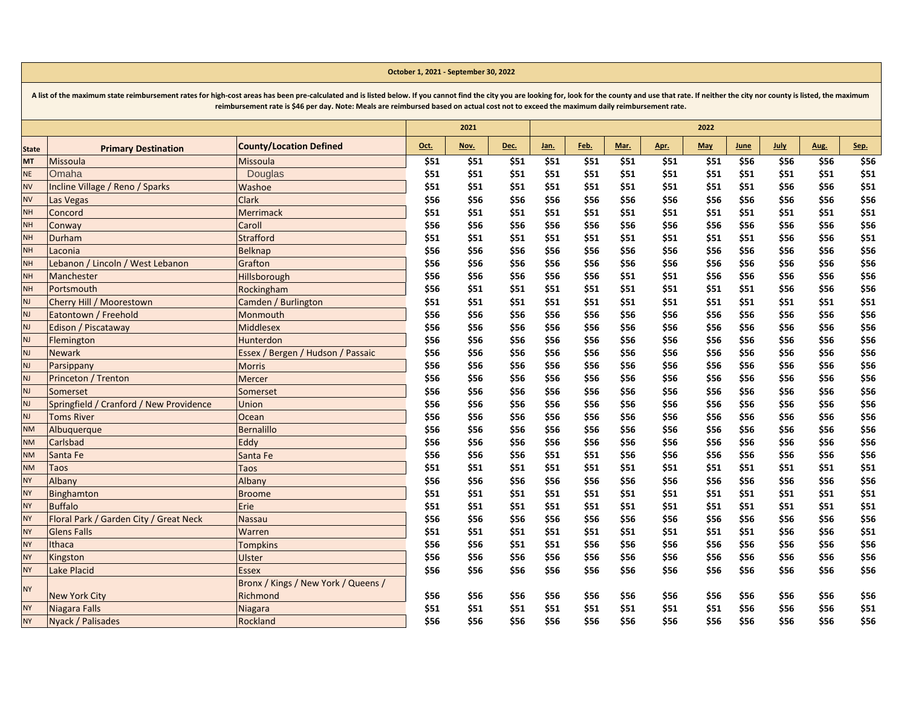|              | reimbursement rate is 546 per day. Note: Meals are reimbursed based on actual cost not to exceed the maximum daily reimbursement rate. |                                     |      |      |      |      |      |      |      |            |      |      |      |      |
|--------------|----------------------------------------------------------------------------------------------------------------------------------------|-------------------------------------|------|------|------|------|------|------|------|------------|------|------|------|------|
|              |                                                                                                                                        |                                     |      | 2021 |      |      |      |      |      | 2022       |      |      |      |      |
| <b>State</b> | <b>Primary Destination</b>                                                                                                             | <b>County/Location Defined</b>      | Oct. | Nov. | Dec. | Jan. | Feb. | Mar. | Apr. | <b>May</b> | June | July | Aug. | Sep. |
| <b>MT</b>    | Missoula                                                                                                                               | Missoula                            | \$51 | \$51 | \$51 | \$51 | \$51 | \$51 | \$51 | \$51       | \$56 | \$56 | \$56 | \$56 |
| <b>NE</b>    | Omaha                                                                                                                                  | Douglas                             | \$51 | \$51 | \$51 | \$51 | \$51 | \$51 | \$51 | \$51       | \$51 | \$51 | \$51 | \$51 |
| <b>NV</b>    | Incline Village / Reno / Sparks                                                                                                        | Washoe                              | \$51 | \$51 | \$51 | \$51 | \$51 | \$51 | \$51 | \$51       | \$51 | \$56 | \$56 | \$51 |
| <b>NV</b>    | Las Vegas                                                                                                                              | <b>Clark</b>                        | \$56 | \$56 | \$56 | \$56 | \$56 | \$56 | \$56 | \$56       | \$56 | \$56 | \$56 | \$56 |
| <b>NH</b>    | Concord                                                                                                                                | Merrimack                           | \$51 | \$51 | \$51 | \$51 | \$51 | \$51 | \$51 | \$51       | \$51 | \$51 | \$51 | \$51 |
| <b>NH</b>    | Conway                                                                                                                                 | Caroll                              | \$56 | \$56 | \$56 | \$56 | \$56 | \$56 | \$56 | \$56       | \$56 | \$56 | \$56 | \$56 |
| <b>NH</b>    | Durham                                                                                                                                 | Strafford                           | \$51 | \$51 | \$51 | \$51 | \$51 | \$51 | \$51 | \$51       | \$51 | \$56 | \$56 | \$51 |
| <b>NH</b>    | Laconia                                                                                                                                | <b>Belknap</b>                      | \$56 | \$56 | \$56 | \$56 | \$56 | \$56 | \$56 | \$56       | \$56 | \$56 | \$56 | \$56 |
| <b>NH</b>    | Lebanon / Lincoln / West Lebanon                                                                                                       | Grafton                             | \$56 | \$56 | \$56 | \$56 | \$56 | \$56 | \$56 | \$56       | \$56 | \$56 | \$56 | \$56 |
| <b>NH</b>    | Manchester                                                                                                                             | Hillsborough                        | \$56 | \$56 | \$56 | \$56 | \$56 | \$51 | \$51 | \$56       | \$56 | \$56 | \$56 | \$56 |
| <b>NH</b>    | Portsmouth                                                                                                                             | Rockingham                          | \$56 | \$51 | \$51 | \$51 | \$51 | \$51 | \$51 | \$51       | \$51 | \$56 | \$56 | \$56 |
| NJ           | Cherry Hill / Moorestown                                                                                                               | Camden / Burlington                 | \$51 | \$51 | \$51 | \$51 | \$51 | \$51 | \$51 | \$51       | \$51 | \$51 | \$51 | \$51 |
| <b>NJ</b>    | Eatontown / Freehold                                                                                                                   | Monmouth                            | \$56 | \$56 | \$56 | \$56 | \$56 | \$56 | \$56 | \$56       | \$56 | \$56 | \$56 | \$56 |
| <b>NJ</b>    | Edison / Piscataway                                                                                                                    | <b>Middlesex</b>                    | \$56 | \$56 | \$56 | \$56 | \$56 | \$56 | \$56 | \$56       | \$56 | \$56 | \$56 | \$56 |
| <b>NJ</b>    | Flemington                                                                                                                             | Hunterdon                           | \$56 | \$56 | \$56 | \$56 | \$56 | \$56 | \$56 | \$56       | \$56 | \$56 | \$56 | \$56 |
| NJ           | <b>Newark</b>                                                                                                                          | Essex / Bergen / Hudson / Passaic   | \$56 | \$56 | \$56 | \$56 | \$56 | \$56 | \$56 | \$56       | \$56 | \$56 | \$56 | \$56 |
| <b>NJ</b>    | Parsippany                                                                                                                             | <b>Morris</b>                       | \$56 | \$56 | \$56 | \$56 | \$56 | \$56 | \$56 | \$56       | \$56 | \$56 | \$56 | \$56 |
| NJ           | Princeton / Trenton                                                                                                                    | Mercer                              | \$56 | \$56 | \$56 | \$56 | \$56 | \$56 | \$56 | \$56       | \$56 | \$56 | \$56 | \$56 |
| <b>NJ</b>    | Somerset                                                                                                                               | Somerset                            | \$56 | \$56 | \$56 | \$56 | \$56 | \$56 | \$56 | \$56       | \$56 | \$56 | \$56 | \$56 |
| <b>NJ</b>    | Springfield / Cranford / New Providence                                                                                                | Union                               | \$56 | \$56 | \$56 | \$56 | \$56 | \$56 | \$56 | \$56       | \$56 | \$56 | \$56 | \$56 |
| <b>NJ</b>    | <b>Toms River</b>                                                                                                                      | Ocean                               | \$56 | \$56 | \$56 | \$56 | \$56 | \$56 | \$56 | \$56       | \$56 | \$56 | \$56 | \$56 |
| <b>NM</b>    | Albuquerque                                                                                                                            | <b>Bernalillo</b>                   | \$56 | \$56 | \$56 | \$56 | \$56 | \$56 | \$56 | \$56       | \$56 | \$56 | \$56 | \$56 |
| <b>NM</b>    | Carlsbad                                                                                                                               | Eddy                                | \$56 | \$56 | \$56 | \$56 | \$56 | \$56 | \$56 | \$56       | \$56 | \$56 | \$56 | \$56 |
| <b>NM</b>    | Santa Fe                                                                                                                               | Santa Fe                            | \$56 | \$56 | \$56 | \$51 | \$51 | \$56 | \$56 | \$56       | \$56 | \$56 | \$56 | \$56 |
| <b>NM</b>    | Taos                                                                                                                                   | Taos                                | \$51 | \$51 | \$51 | \$51 | \$51 | \$51 | \$51 | \$51       | \$51 | \$51 | \$51 | \$51 |
| <b>NY</b>    | Albany                                                                                                                                 | Albany                              | \$56 | \$56 | \$56 | \$56 | \$56 | \$56 | \$56 | \$56       | \$56 | \$56 | \$56 | \$56 |
| <b>NY</b>    | <b>Binghamton</b>                                                                                                                      | <b>Broome</b>                       | \$51 | \$51 | \$51 | \$51 | \$51 | \$51 | \$51 | \$51       | \$51 | \$51 | \$51 | \$51 |
| <b>NY</b>    | <b>Buffalo</b>                                                                                                                         | Erie                                | \$51 | \$51 | \$51 | \$51 | \$51 | \$51 | \$51 | \$51       | \$51 | \$51 | \$51 | \$51 |
| <b>NY</b>    | Floral Park / Garden City / Great Neck                                                                                                 | Nassau                              | \$56 | \$56 | \$56 | \$56 | \$56 | \$56 | \$56 | \$56       | \$56 | \$56 | \$56 | \$56 |
| <b>NY</b>    | <b>Glens Falls</b>                                                                                                                     | Warren                              | \$51 | \$51 | \$51 | \$51 | \$51 | \$51 | \$51 | \$51       | \$51 | \$56 | \$56 | \$51 |
| <b>NY</b>    | Ithaca                                                                                                                                 | Tompkins                            | \$56 | \$56 | \$51 | \$51 | \$56 | \$56 | \$56 | \$56       | \$56 | \$56 | \$56 | \$56 |
| <b>NY</b>    | Kingston                                                                                                                               | Ulster                              | \$56 | \$56 | \$56 | \$56 | \$56 | \$56 | \$56 | \$56       | \$56 | \$56 | \$56 | \$56 |
| <b>NY</b>    | Lake Placid                                                                                                                            | <b>Essex</b>                        | \$56 | \$56 | \$56 | \$56 | \$56 | \$56 | \$56 | \$56       | \$56 | \$56 | \$56 | \$56 |
| <b>NY</b>    |                                                                                                                                        | Bronx / Kings / New York / Queens / |      |      |      |      |      |      |      |            |      |      |      |      |
|              | <b>New York City</b>                                                                                                                   | Richmond                            | \$56 | \$56 | \$56 | \$56 | \$56 | \$56 | \$56 | \$56       | \$56 | \$56 | \$56 | \$56 |
| <b>NY</b>    | Niagara Falls                                                                                                                          | Niagara                             | \$51 | \$51 | \$51 | \$51 | \$51 | \$51 | \$51 | \$51       | \$56 | \$56 | \$56 | \$51 |
| <b>NY</b>    | Nyack / Palisades                                                                                                                      | Rockland                            | \$56 | \$56 | \$56 | \$56 | \$56 | \$56 | \$56 | \$56       | \$56 | \$56 | \$56 | \$56 |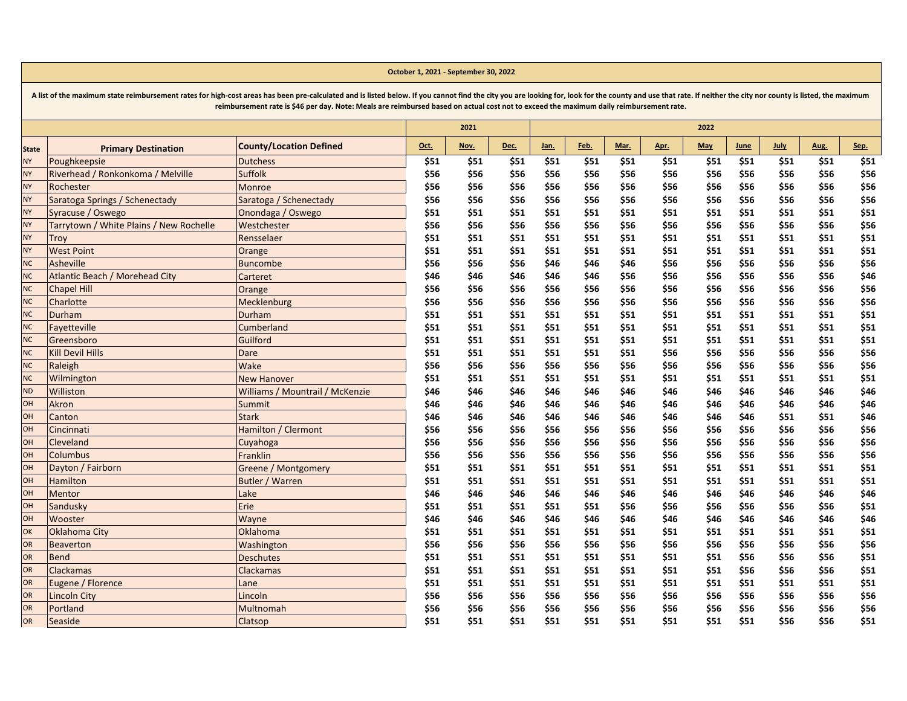|              |                                         | reimbursement rate is \$46 per day. Note: Meals are reimbursed based on actual cost not to exceed the maximum daily reimbursement rate. |      |      |      |      |      |      |             |            |      |             |      |      |
|--------------|-----------------------------------------|-----------------------------------------------------------------------------------------------------------------------------------------|------|------|------|------|------|------|-------------|------------|------|-------------|------|------|
|              |                                         |                                                                                                                                         |      | 2021 |      |      |      |      |             | 2022       |      |             |      |      |
| <b>State</b> | <b>Primary Destination</b>              | <b>County/Location Defined</b>                                                                                                          | Oct. | Nov. | Dec. | Jan. | Feb. | Mar. | <u>Apr.</u> | <b>May</b> | June | <b>July</b> | Aug. | Sep. |
| <b>NY</b>    | Poughkeepsie                            | <b>Dutchess</b>                                                                                                                         | \$51 | \$51 | \$51 | \$51 | \$51 | \$51 | \$51        | \$51       | \$51 | \$51        | \$51 | \$51 |
| <b>NY</b>    | Riverhead / Ronkonkoma / Melville       | <b>Suffolk</b>                                                                                                                          | \$56 | \$56 | \$56 | \$56 | \$56 | \$56 | \$56        | \$56       | \$56 | \$56        | \$56 | \$56 |
| <b>NY</b>    | Rochester                               | Monroe                                                                                                                                  | \$56 | \$56 | \$56 | \$56 | \$56 | \$56 | \$56        | \$56       | \$56 | \$56        | \$56 | \$56 |
| <b>NY</b>    | Saratoga Springs / Schenectady          | Saratoga / Schenectady                                                                                                                  | \$56 | \$56 | \$56 | \$56 | \$56 | \$56 | \$56        | \$56       | \$56 | \$56        | \$56 | \$56 |
| <b>NY</b>    | Syracuse / Oswego                       | Onondaga / Oswego                                                                                                                       | \$51 | \$51 | \$51 | \$51 | \$51 | \$51 | \$51        | \$51       | \$51 | \$51        | \$51 | \$51 |
| <b>NY</b>    | Tarrytown / White Plains / New Rochelle | Westchester                                                                                                                             | \$56 | \$56 | \$56 | \$56 | \$56 | \$56 | \$56        | \$56       | \$56 | \$56        | \$56 | \$56 |
| <b>NY</b>    | Troy                                    | Rensselaer                                                                                                                              | \$51 | \$51 | \$51 | \$51 | \$51 | \$51 | \$51        | \$51       | \$51 | \$51        | \$51 | \$51 |
| <b>NY</b>    | <b>West Point</b>                       | Orange                                                                                                                                  | \$51 | \$51 | \$51 | \$51 | \$51 | \$51 | \$51        | \$51       | \$51 | \$51        | \$51 | \$51 |
| <b>NC</b>    | Asheville                               | <b>Buncombe</b>                                                                                                                         | \$56 | \$56 | \$56 | \$46 | \$46 | \$46 | \$56        | \$56       | \$56 | \$56        | \$56 | \$56 |
| NC           | Atlantic Beach / Morehead City          | Carteret                                                                                                                                | \$46 | \$46 | \$46 | \$46 | \$46 | \$56 | \$56        | \$56       | \$56 | \$56        | \$56 | \$46 |
| <b>NC</b>    | <b>Chapel Hill</b>                      | Orange                                                                                                                                  | \$56 | \$56 | \$56 | \$56 | \$56 | \$56 | \$56        | \$56       | \$56 | \$56        | \$56 | \$56 |
| NC           | Charlotte                               | Mecklenburg                                                                                                                             | \$56 | \$56 | \$56 | \$56 | \$56 | \$56 | \$56        | \$56       | \$56 | \$56        | \$56 | \$56 |
| NC           | Durham                                  | Durham                                                                                                                                  | \$51 | \$51 | \$51 | \$51 | \$51 | \$51 | \$51        | \$51       | \$51 | \$51        | \$51 | \$51 |
| <b>NC</b>    | Fayetteville                            | Cumberland                                                                                                                              | \$51 | \$51 | \$51 | \$51 | \$51 | \$51 | \$51        | \$51       | \$51 | \$51        | \$51 | \$51 |
| NC           | Greensboro                              | Guilford                                                                                                                                | \$51 | \$51 | \$51 | \$51 | \$51 | \$51 | \$51        | \$51       | \$51 | \$51        | \$51 | \$51 |
| NC           | <b>Kill Devil Hills</b>                 | <b>Dare</b>                                                                                                                             | \$51 | \$51 | \$51 | \$51 | \$51 | \$51 | \$56        | \$56       | \$56 | \$56        | \$56 | \$56 |
| NC           | Raleigh                                 | Wake                                                                                                                                    | \$56 | \$56 | \$56 | \$56 | \$56 | \$56 | \$56        | \$56       | \$56 | \$56        | \$56 | \$56 |
| NC           | Wilmington                              | <b>New Hanover</b>                                                                                                                      | \$51 | \$51 | \$51 | \$51 | \$51 | \$51 | \$51        | \$51       | \$51 | \$51        | \$51 | \$51 |
| <b>ND</b>    | Williston                               | Williams / Mountrail / McKenzie                                                                                                         | \$46 | \$46 | \$46 | \$46 | \$46 | \$46 | \$46        | \$46       | \$46 | \$46        | \$46 | \$46 |
| OH           | Akron                                   | Summit                                                                                                                                  | \$46 | \$46 | \$46 | \$46 | \$46 | \$46 | \$46        | \$46       | \$46 | \$46        | \$46 | \$46 |
| OH           | Canton                                  | <b>Stark</b>                                                                                                                            | \$46 | \$46 | \$46 | \$46 | \$46 | \$46 | \$46        | \$46       | \$46 | \$51        | \$51 | \$46 |
| OH           | Cincinnati                              | Hamilton / Clermont                                                                                                                     | \$56 | \$56 | \$56 | \$56 | \$56 | \$56 | \$56        | \$56       | \$56 | \$56        | \$56 | \$56 |
| OH           | Cleveland                               | Cuyahoga                                                                                                                                | \$56 | \$56 | \$56 | \$56 | \$56 | \$56 | \$56        | \$56       | \$56 | \$56        | \$56 | \$56 |
| OH           | <b>Columbus</b>                         | Franklin                                                                                                                                | \$56 | \$56 | \$56 | \$56 | \$56 | \$56 | \$56        | \$56       | \$56 | \$56        | \$56 | \$56 |
| OH           | Dayton / Fairborn                       | <b>Greene / Montgomery</b>                                                                                                              | \$51 | \$51 | \$51 | \$51 | \$51 | \$51 | \$51        | \$51       | \$51 | \$51        | \$51 | \$51 |
| OH           | <b>Hamilton</b>                         | Butler / Warren                                                                                                                         | \$51 | \$51 | \$51 | \$51 | \$51 | \$51 | \$51        | \$51       | \$51 | \$51        | \$51 | \$51 |
| OH           | Mentor                                  | Lake                                                                                                                                    | \$46 | \$46 | \$46 | \$46 | \$46 | \$46 | \$46        | \$46       | \$46 | \$46        | \$46 | \$46 |
| OH           | Sandusky                                | Erie                                                                                                                                    | \$51 | \$51 | \$51 | \$51 | \$51 | \$56 | \$56        | \$56       | \$56 | \$56        | \$56 | \$51 |
| OH           | Wooster                                 | Wayne                                                                                                                                   | \$46 | \$46 | \$46 | \$46 | \$46 | \$46 | \$46        | \$46       | \$46 | \$46        | \$46 | \$46 |
| OK           | Oklahoma City                           | Oklahoma                                                                                                                                | \$51 | \$51 | \$51 | \$51 | \$51 | \$51 | \$51        | \$51       | \$51 | \$51        | \$51 | \$51 |
| OR           | <b>Beaverton</b>                        | Washington                                                                                                                              | \$56 | \$56 | \$56 | \$56 | \$56 | \$56 | \$56        | \$56       | \$56 | \$56        | \$56 | \$56 |
| OR           | <b>Bend</b>                             | <b>Deschutes</b>                                                                                                                        | \$51 | \$51 | \$51 | \$51 | \$51 | \$51 | \$51        | \$51       | \$56 | \$56        | \$56 | \$51 |
| OR           | <b>Clackamas</b>                        | <b>Clackamas</b>                                                                                                                        | \$51 | \$51 | \$51 | \$51 | \$51 | \$51 | \$51        | \$51       | \$56 | \$56        | \$56 | \$51 |
| OR           | Eugene / Florence                       | Lane                                                                                                                                    | \$51 | \$51 | \$51 | \$51 | \$51 | \$51 | \$51        | \$51       | \$51 | \$51        | \$51 | \$51 |
| OR           | Lincoln City                            | Lincoln                                                                                                                                 | \$56 | \$56 | \$56 | \$56 | \$56 | \$56 | \$56        | \$56       | \$56 | \$56        | \$56 | \$56 |
| OR           | Portland                                | Multnomah                                                                                                                               | \$56 | \$56 | \$56 | \$56 | \$56 | \$56 | \$56        | \$56       | \$56 | \$56        | \$56 | \$56 |
| OR           | Seaside                                 | <b>Clatsop</b>                                                                                                                          | \$51 | \$51 | \$51 | \$51 | \$51 | \$51 | \$51        | \$51       | \$51 | \$56        | \$56 | \$51 |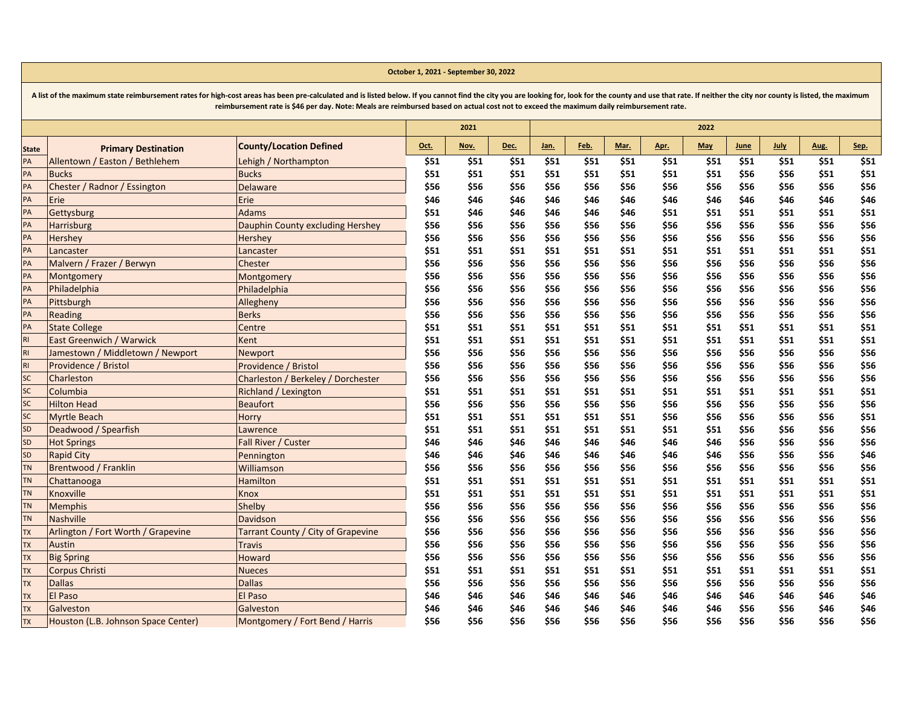|           |                                     | reimbursement rate is \$46 per day. Note: Meals are reimbursed based on actual cost not to exceed the maximum daily reimbursement rate. |      |      |      |      |      |      |      |            |             |             |      |      |
|-----------|-------------------------------------|-----------------------------------------------------------------------------------------------------------------------------------------|------|------|------|------|------|------|------|------------|-------------|-------------|------|------|
|           |                                     |                                                                                                                                         |      | 2021 |      |      |      |      |      | 2022       |             |             |      |      |
| State     | <b>Primary Destination</b>          | <b>County/Location Defined</b>                                                                                                          | Oct. | Nov. | Dec. | Jan. | Feb. | Mar. | Apr. | <b>May</b> | <b>June</b> | <b>July</b> | Aug. | Sep. |
| PA        | Allentown / Easton / Bethlehem      | Lehigh / Northampton                                                                                                                    | \$51 | \$51 | \$51 | \$51 | \$51 | \$51 | \$51 | \$51       | \$51        | \$51        | \$51 | \$51 |
| PA        | <b>Bucks</b>                        | <b>Bucks</b>                                                                                                                            | \$51 | \$51 | \$51 | \$51 | \$51 | \$51 | \$51 | \$51       | \$56        | \$56        | \$51 | \$51 |
| PA        | Chester / Radnor / Essington        | Delaware                                                                                                                                | \$56 | \$56 | \$56 | \$56 | \$56 | \$56 | \$56 | \$56       | \$56        | \$56        | \$56 | \$56 |
| PA        | Erie                                | Erie                                                                                                                                    | \$46 | \$46 | \$46 | \$46 | \$46 | \$46 | \$46 | \$46       | \$46        | \$46        | \$46 | \$46 |
| PA        | Gettysburg                          | <b>Adams</b>                                                                                                                            | \$51 | \$46 | \$46 | \$46 | \$46 | \$46 | \$51 | \$51       | \$51        | \$51        | \$51 | \$51 |
| PA        | <b>Harrisburg</b>                   | Dauphin County excluding Hershey                                                                                                        | \$56 | \$56 | \$56 | \$56 | \$56 | \$56 | \$56 | \$56       | \$56        | \$56        | \$56 | \$56 |
| PA        | Hershey                             | Hershey                                                                                                                                 | \$56 | \$56 | \$56 | \$56 | \$56 | \$56 | \$56 | \$56       | \$56        | \$56        | \$56 | \$56 |
| PA        | Lancaster                           | Lancaster                                                                                                                               | \$51 | \$51 | \$51 | \$51 | \$51 | \$51 | \$51 | \$51       | \$51        | \$51        | \$51 | \$51 |
| PA        | Malvern / Frazer / Berwyn           | Chester                                                                                                                                 | \$56 | \$56 | \$56 | \$56 | \$56 | \$56 | \$56 | \$56       | \$56        | \$56        | \$56 | \$56 |
| PA        | Montgomery                          | Montgomery                                                                                                                              | \$56 | \$56 | \$56 | \$56 | \$56 | \$56 | \$56 | \$56       | \$56        | \$56        | \$56 | \$56 |
| PA        | Philadelphia                        | Philadelphia                                                                                                                            | \$56 | \$56 | \$56 | \$56 | \$56 | \$56 | \$56 | \$56       | \$56        | \$56        | \$56 | \$56 |
| PA        | Pittsburgh                          | Allegheny                                                                                                                               | \$56 | \$56 | \$56 | \$56 | \$56 | \$56 | \$56 | \$56       | \$56        | \$56        | \$56 | \$56 |
| PA        | Reading                             | <b>Berks</b>                                                                                                                            | \$56 | \$56 | \$56 | \$56 | \$56 | \$56 | \$56 | \$56       | \$56        | \$56        | \$56 | \$56 |
| PA        | <b>State College</b>                | Centre                                                                                                                                  | \$51 | \$51 | \$51 | \$51 | \$51 | \$51 | \$51 | \$51       | \$51        | \$51        | \$51 | \$51 |
| RI        | East Greenwich / Warwick            | Kent                                                                                                                                    | \$51 | \$51 | \$51 | \$51 | \$51 | \$51 | \$51 | \$51       | \$51        | \$51        | \$51 | \$51 |
| RI.       | Jamestown / Middletown / Newport    | Newport                                                                                                                                 | \$56 | \$56 | \$56 | \$56 | \$56 | \$56 | \$56 | \$56       | \$56        | \$56        | \$56 | \$56 |
| RI        | Providence / Bristol                | Providence / Bristol                                                                                                                    | \$56 | \$56 | \$56 | \$56 | \$56 | \$56 | \$56 | \$56       | \$56        | \$56        | \$56 | \$56 |
| <b>SC</b> | Charleston                          | Charleston / Berkeley / Dorchester                                                                                                      | \$56 | \$56 | \$56 | \$56 | \$56 | \$56 | \$56 | \$56       | \$56        | \$56        | \$56 | \$56 |
| <b>SC</b> | Columbia                            | Richland / Lexington                                                                                                                    | \$51 | \$51 | \$51 | \$51 | \$51 | \$51 | \$51 | \$51       | \$51        | \$51        | \$51 | \$51 |
| SC        | <b>Hilton Head</b>                  | <b>Beaufort</b>                                                                                                                         | \$56 | \$56 | \$56 | \$56 | \$56 | \$56 | \$56 | \$56       | \$56        | \$56        | \$56 | \$56 |
| SC        | <b>Myrtle Beach</b>                 | Horry                                                                                                                                   | \$51 | \$51 | \$51 | \$51 | \$51 | \$51 | \$56 | \$56       | \$56        | \$56        | \$56 | \$51 |
| SD        | Deadwood / Spearfish                | Lawrence                                                                                                                                | \$51 | \$51 | \$51 | \$51 | \$51 | \$51 | \$51 | \$51       | \$56        | \$56        | \$56 | \$56 |
| SD        | <b>Hot Springs</b>                  | Fall River / Custer                                                                                                                     | \$46 | \$46 | \$46 | \$46 | \$46 | \$46 | \$46 | \$46       | \$56        | \$56        | \$56 | \$56 |
| SD        | <b>Rapid City</b>                   | Pennington                                                                                                                              | \$46 | \$46 | \$46 | \$46 | \$46 | \$46 | \$46 | \$46       | \$56        | \$56        | \$56 | \$46 |
| TN        | Brentwood / Franklin                | Williamson                                                                                                                              | \$56 | \$56 | \$56 | \$56 | \$56 | \$56 | \$56 | \$56       | \$56        | \$56        | \$56 | \$56 |
| <b>TN</b> | Chattanooga                         | Hamilton                                                                                                                                | \$51 | \$51 | \$51 | \$51 | \$51 | \$51 | \$51 | \$51       | \$51        | \$51        | \$51 | \$51 |
| TN        | Knoxville                           | <b>Knox</b>                                                                                                                             | \$51 | \$51 | \$51 | \$51 | \$51 | \$51 | \$51 | \$51       | \$51        | \$51        | \$51 | \$51 |
| TN        | <b>Memphis</b>                      | Shelby                                                                                                                                  | \$56 | \$56 | \$56 | \$56 | \$56 | \$56 | \$56 | \$56       | \$56        | \$56        | \$56 | \$56 |
| <b>TN</b> | <b>Nashville</b>                    | Davidson                                                                                                                                | \$56 | \$56 | \$56 | \$56 | \$56 | \$56 | \$56 | \$56       | \$56        | \$56        | \$56 | \$56 |
| <b>TX</b> | Arlington / Fort Worth / Grapevine  | Tarrant County / City of Grapevine                                                                                                      | \$56 | \$56 | \$56 | \$56 | \$56 | \$56 | \$56 | \$56       | \$56        | \$56        | \$56 | \$56 |
| <b>TX</b> | Austin                              | <b>Travis</b>                                                                                                                           | \$56 | \$56 | \$56 | \$56 | \$56 | \$56 | \$56 | \$56       | \$56        | \$56        | \$56 | \$56 |
| <b>TX</b> | <b>Big Spring</b>                   | <b>Howard</b>                                                                                                                           | \$56 | \$56 | \$56 | \$56 | \$56 | \$56 | \$56 | \$56       | \$56        | \$56        | \$56 | \$56 |
| <b>TX</b> | Corpus Christi                      | <b>Nueces</b>                                                                                                                           | \$51 | \$51 | \$51 | \$51 | \$51 | \$51 | \$51 | \$51       | \$51        | \$51        | \$51 | \$51 |
| <b>TX</b> | <b>Dallas</b>                       | <b>Dallas</b>                                                                                                                           | \$56 | \$56 | \$56 | \$56 | \$56 | \$56 | \$56 | \$56       | \$56        | \$56        | \$56 | \$56 |
| <b>TX</b> | <b>El Paso</b>                      | El Paso                                                                                                                                 | \$46 | \$46 | \$46 | \$46 | \$46 | \$46 | \$46 | \$46       | \$46        | \$46        | \$46 | \$46 |
| <b>TX</b> | Galveston                           | Galveston                                                                                                                               | \$46 | \$46 | \$46 | \$46 | \$46 | \$46 | \$46 | \$46       | \$56        | \$56        | \$46 | \$46 |
| <b>TX</b> | Houston (L.B. Johnson Space Center) | Montgomery / Fort Bend / Harris                                                                                                         | \$56 | \$56 | \$56 | \$56 | \$56 | \$56 | \$56 | \$56       | \$56        | \$56        | \$56 | \$56 |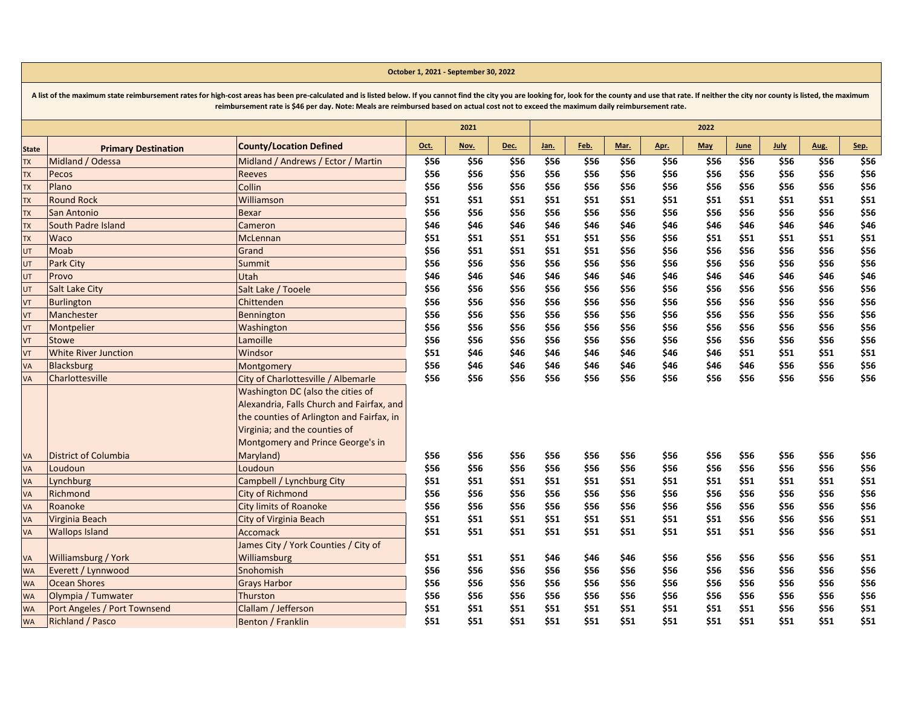|                          |                              |                                           |      | 2021 |      |      |      |      |      | 2022       |      |      |      |      |
|--------------------------|------------------------------|-------------------------------------------|------|------|------|------|------|------|------|------------|------|------|------|------|
| <b>State</b>             | <b>Primary Destination</b>   | <b>County/Location Defined</b>            | Oct. | Nov. | Dec. | Jan. | Feb. | Mar. | Apr. | <b>May</b> | June | July | Aug. | Sep. |
| <b>TX</b>                | Midland / Odessa             | Midland / Andrews / Ector / Martin        | \$56 | \$56 | \$56 | \$56 | \$56 | \$56 | \$56 | \$56       | \$56 | \$56 | \$56 | \$56 |
| <b>TX</b>                | Pecos                        | <b>Reeves</b>                             | \$56 | \$56 | \$56 | \$56 | \$56 | \$56 | \$56 | \$56       | \$56 | \$56 | \$56 | \$56 |
| $\overline{\mathsf{L}}$  | Plano                        | Collin                                    | \$56 | \$56 | \$56 | \$56 | \$56 | \$56 | \$56 | \$56       | \$56 | \$56 | \$56 | \$56 |
| <b>TX</b>                | <b>Round Rock</b>            | Williamson                                | \$51 | \$51 | \$51 | \$51 | \$51 | \$51 | \$51 | \$51       | \$51 | \$51 | \$51 | \$51 |
| TX                       | San Antonio                  | <b>Bexar</b>                              | \$56 | \$56 | \$56 | \$56 | \$56 | \$56 | \$56 | \$56       | \$56 | \$56 | \$56 | \$56 |
| <b>TX</b>                | South Padre Island           | Cameron                                   | \$46 | \$46 | \$46 | \$46 | \$46 | \$46 | \$46 | \$46       | \$46 | \$46 | \$46 | \$46 |
| <b>TX</b>                | Waco                         | McLennan                                  | \$51 | \$51 | \$51 | \$51 | \$51 | \$56 | \$56 | \$51       | \$51 | \$51 | \$51 | \$51 |
| UT                       | Moab                         | Grand                                     | \$56 | \$51 | \$51 | \$51 | \$51 | \$56 | \$56 | \$56       | \$56 | \$56 | \$56 | \$56 |
| UT                       | <b>Park City</b>             | Summit                                    | \$56 | \$56 | \$56 | \$56 | \$56 | \$56 | \$56 | \$56       | \$56 | \$56 | \$56 | \$56 |
| UT                       | Provo                        | Utah                                      | \$46 | \$46 | \$46 | \$46 | \$46 | \$46 | \$46 | \$46       | \$46 | \$46 | \$46 | \$46 |
| UT                       | <b>Salt Lake City</b>        | Salt Lake / Tooele                        | \$56 | \$56 | \$56 | \$56 | \$56 | \$56 | \$56 | \$56       | \$56 | \$56 | \$56 | \$56 |
| VT                       | <b>Burlington</b>            | Chittenden                                | \$56 | \$56 | \$56 | \$56 | \$56 | \$56 | \$56 | \$56       | \$56 | \$56 | \$56 | \$56 |
| $\overline{\mathsf{VT}}$ | Manchester                   | Bennington                                | \$56 | \$56 | \$56 | \$56 | \$56 | \$56 | \$56 | \$56       | \$56 | \$56 | \$56 | \$56 |
| VT                       | Montpelier                   | Washington                                | \$56 | \$56 | \$56 | \$56 | \$56 | \$56 | \$56 | \$56       | \$56 | \$56 | \$56 | \$56 |
| VT                       | Stowe                        | Lamoille                                  | \$56 | \$56 | \$56 | \$56 | \$56 | \$56 | \$56 | \$56       | \$56 | \$56 | \$56 | \$56 |
| VT                       | <b>White River Junction</b>  | Windsor                                   | \$51 | \$46 | \$46 | \$46 | \$46 | \$46 | \$46 | \$46       | \$51 | \$51 | \$51 | \$51 |
| VA                       | <b>Blacksburg</b>            | Montgomery                                | \$56 | \$46 | \$46 | \$46 | \$46 | \$46 | \$46 | \$46       | \$46 | \$56 | \$56 | \$56 |
| VA                       | Charlottesville              | City of Charlottesville / Albemarle       | \$56 | \$56 | \$56 | \$56 | \$56 | \$56 | \$56 | \$56       | \$56 | \$56 | \$56 | \$56 |
|                          |                              | Washington DC (also the cities of         |      |      |      |      |      |      |      |            |      |      |      |      |
|                          |                              | Alexandria, Falls Church and Fairfax, and |      |      |      |      |      |      |      |            |      |      |      |      |
|                          |                              | the counties of Arlington and Fairfax, in |      |      |      |      |      |      |      |            |      |      |      |      |
|                          |                              | Virginia; and the counties of             |      |      |      |      |      |      |      |            |      |      |      |      |
|                          |                              | Montgomery and Prince George's in         |      |      |      |      |      |      |      |            |      |      |      |      |
| <b>VA</b>                | <b>District of Columbia</b>  | Maryland)                                 | \$56 | \$56 | \$56 | \$56 | \$56 | \$56 | \$56 | \$56       | \$56 | \$56 | \$56 | \$56 |
| VA                       | Loudoun                      | Loudoun                                   | \$56 | \$56 | \$56 | \$56 | \$56 | \$56 | \$56 | \$56       | \$56 | \$56 | \$56 | \$56 |
| VA                       | Lynchburg                    | Campbell / Lynchburg City                 | \$51 | \$51 | \$51 | \$51 | \$51 | \$51 | \$51 | \$51       | \$51 | \$51 | \$51 | \$51 |
| VA                       | Richmond                     | <b>City of Richmond</b>                   | \$56 | \$56 | \$56 | \$56 | \$56 | \$56 | \$56 | \$56       | \$56 | \$56 | \$56 | \$56 |
| VA                       | Roanoke                      | <b>City limits of Roanoke</b>             | \$56 | \$56 | \$56 | \$56 | \$56 | \$56 | \$56 | \$56       | \$56 | \$56 | \$56 | \$56 |
| VA                       | Virginia Beach               | City of Virginia Beach                    | \$51 | \$51 | \$51 | \$51 | \$51 | \$51 | \$51 | \$51       | \$56 | \$56 | \$56 | \$51 |
| VA                       | <b>Wallops Island</b>        | <b>Accomack</b>                           | \$51 | \$51 | \$51 | \$51 | \$51 | \$51 | \$51 | \$51       | \$51 | \$56 | \$56 | \$51 |
|                          |                              | James City / York Counties / City of      |      |      |      |      |      |      |      |            |      |      |      |      |
| VA                       | Williamsburg / York          | Williamsburg                              | \$51 | \$51 | \$51 | \$46 | \$46 | \$46 | \$56 | \$56       | \$56 | \$56 | \$56 | \$51 |
| <b>WA</b>                | Everett / Lynnwood           | Snohomish                                 | \$56 | \$56 | \$56 | \$56 | \$56 | \$56 | \$56 | \$56       | \$56 | \$56 | \$56 | \$56 |
| <b>WA</b>                | <b>Ocean Shores</b>          | <b>Grays Harbor</b>                       | \$56 | \$56 | \$56 | \$56 | \$56 | \$56 | \$56 | \$56       | \$56 | \$56 | \$56 | \$56 |
| <b>WA</b>                | Olympia / Tumwater           | Thurston                                  | \$56 | \$56 | \$56 | \$56 | \$56 | \$56 | \$56 | \$56       | \$56 | \$56 | \$56 | \$56 |
| <b>WA</b>                | Port Angeles / Port Townsend | Clallam / Jefferson                       | \$51 | \$51 | \$51 | \$51 | \$51 | \$51 | \$51 | \$51       | \$51 | \$56 | \$56 | \$51 |
| <b>WA</b>                | <b>Richland / Pasco</b>      | Benton / Franklin                         | \$51 | \$51 | \$51 | \$51 | \$51 | \$51 | \$51 | \$51       | \$51 | \$51 | \$51 | \$51 |